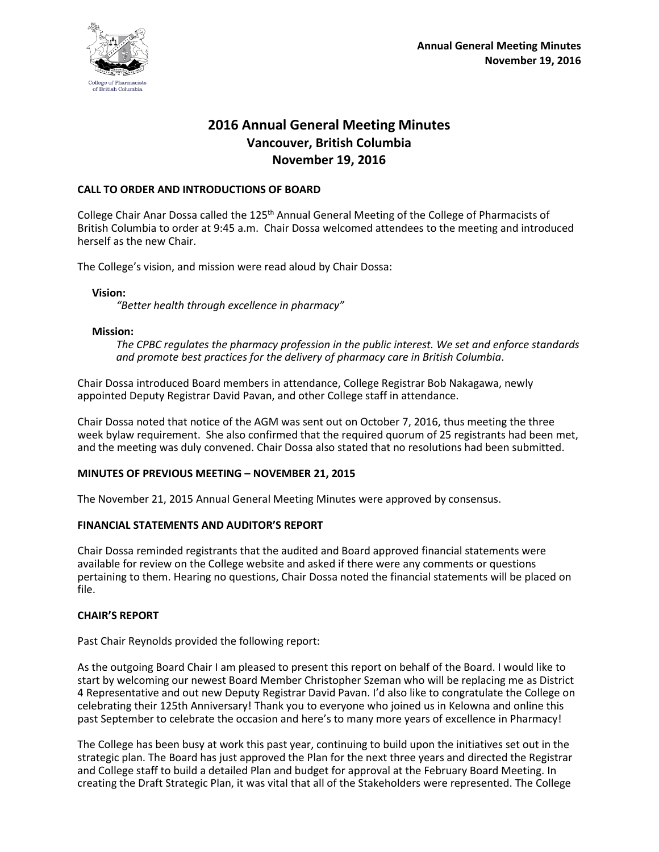

# **2016 Annual General Meeting Minutes Vancouver, British Columbia November 19, 2016**

### **CALL TO ORDER AND INTRODUCTIONS OF BOARD**

College Chair Anar Dossa called the 125<sup>th</sup> Annual General Meeting of the College of Pharmacists of British Columbia to order at 9:45 a.m. Chair Dossa welcomed attendees to the meeting and introduced herself as the new Chair.

The College's vision, and mission were read aloud by Chair Dossa:

**Vision:**

*"Better health through excellence in pharmacy"*

#### **Mission:**

*The CPBC regulates the pharmacy profession in the public interest. We set and enforce standards and promote best practices for the delivery of pharmacy care in British Columbia*.

Chair Dossa introduced Board members in attendance, College Registrar Bob Nakagawa, newly appointed Deputy Registrar David Pavan, and other College staff in attendance.

Chair Dossa noted that notice of the AGM was sent out on October 7, 2016, thus meeting the three week bylaw requirement. She also confirmed that the required quorum of 25 registrants had been met, and the meeting was duly convened. Chair Dossa also stated that no resolutions had been submitted.

### **MINUTES OF PREVIOUS MEETING – NOVEMBER 21, 2015**

The November 21, 2015 Annual General Meeting Minutes were approved by consensus.

### **FINANCIAL STATEMENTS AND AUDITOR'S REPORT**

Chair Dossa reminded registrants that the audited and Board approved financial statements were available for review on the College website and asked if there were any comments or questions pertaining to them. Hearing no questions, Chair Dossa noted the financial statements will be placed on file.

### **CHAIR'S REPORT**

Past Chair Reynolds provided the following report:

As the outgoing Board Chair I am pleased to present this report on behalf of the Board. I would like to start by welcoming our newest Board Member Christopher Szeman who will be replacing me as District 4 Representative and out new Deputy Registrar David Pavan. I'd also like to congratulate the College on celebrating their 125th Anniversary! Thank you to everyone who joined us in Kelowna and online this past September to celebrate the occasion and here's to many more years of excellence in Pharmacy!

The College has been busy at work this past year, continuing to build upon the initiatives set out in the strategic plan. The Board has just approved the Plan for the next three years and directed the Registrar and College staff to build a detailed Plan and budget for approval at the February Board Meeting. In creating the Draft Strategic Plan, it was vital that all of the Stakeholders were represented. The College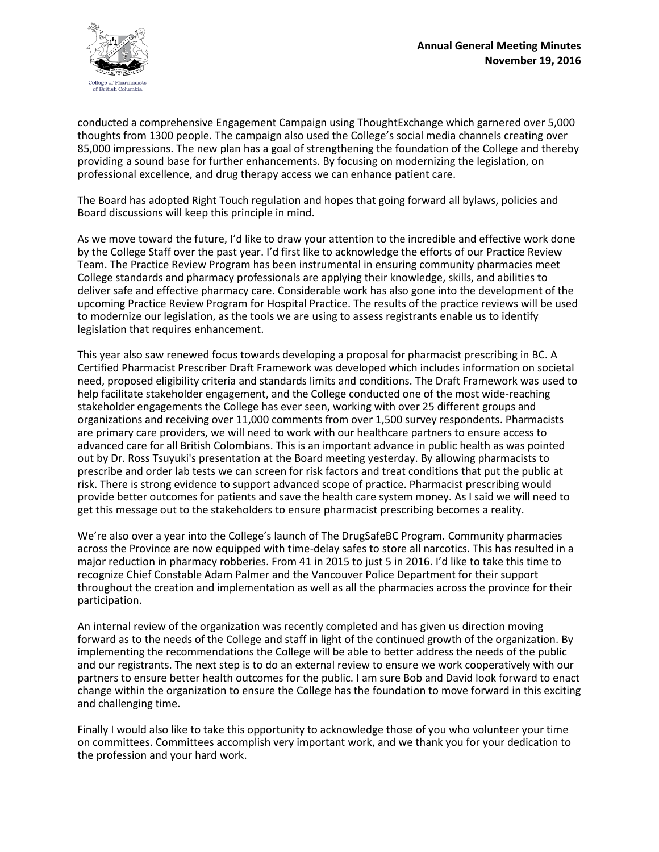

conducted a comprehensive Engagement Campaign using ThoughtExchange which garnered over 5,000 thoughts from 1300 people. The campaign also used the College's social media channels creating over 85,000 impressions. The new plan has a goal of strengthening the foundation of the College and thereby providing a sound base for further enhancements. By focusing on modernizing the legislation, on professional excellence, and drug therapy access we can enhance patient care.

The Board has adopted Right Touch regulation and hopes that going forward all bylaws, policies and Board discussions will keep this principle in mind.

As we move toward the future, I'd like to draw your attention to the incredible and effective work done by the College Staff over the past year. I'd first like to acknowledge the efforts of our Practice Review Team. The Practice Review Program has been instrumental in ensuring community pharmacies meet College standards and pharmacy professionals are applying their knowledge, skills, and abilities to deliver safe and effective pharmacy care. Considerable work has also gone into the development of the upcoming Practice Review Program for Hospital Practice. The results of the practice reviews will be used to modernize our legislation, as the tools we are using to assess registrants enable us to identify legislation that requires enhancement.

This year also saw renewed focus towards developing a proposal for pharmacist prescribing in BC. A Certified Pharmacist Prescriber Draft Framework was developed which includes information on societal need, proposed eligibility criteria and standards limits and conditions. The Draft Framework was used to help facilitate stakeholder engagement, and the College conducted one of the most wide-reaching stakeholder engagements the College has ever seen, working with over 25 different groups and organizations and receiving over 11,000 comments from over 1,500 survey respondents. Pharmacists are primary care providers, we will need to work with our healthcare partners to ensure access to advanced care for all British Colombians. This is an important advance in public health as was pointed out by Dr. Ross Tsuyuki's presentation at the Board meeting yesterday. By allowing pharmacists to prescribe and order lab tests we can screen for risk factors and treat conditions that put the public at risk. There is strong evidence to support advanced scope of practice. Pharmacist prescribing would provide better outcomes for patients and save the health care system money. As I said we will need to get this message out to the stakeholders to ensure pharmacist prescribing becomes a reality.

We're also over a year into the College's launch of The DrugSafeBC Program. Community pharmacies across the Province are now equipped with time-delay safes to store all narcotics. This has resulted in a major reduction in pharmacy robberies. From 41 in 2015 to just 5 in 2016. I'd like to take this time to recognize Chief Constable Adam Palmer and the Vancouver Police Department for their support throughout the creation and implementation as well as all the pharmacies across the province for their participation.

An internal review of the organization was recently completed and has given us direction moving forward as to the needs of the College and staff in light of the continued growth of the organization. By implementing the recommendations the College will be able to better address the needs of the public and our registrants. The next step is to do an external review to ensure we work cooperatively with our partners to ensure better health outcomes for the public. I am sure Bob and David look forward to enact change within the organization to ensure the College has the foundation to move forward in this exciting and challenging time.

Finally I would also like to take this opportunity to acknowledge those of you who volunteer your time on committees. Committees accomplish very important work, and we thank you for your dedication to the profession and your hard work.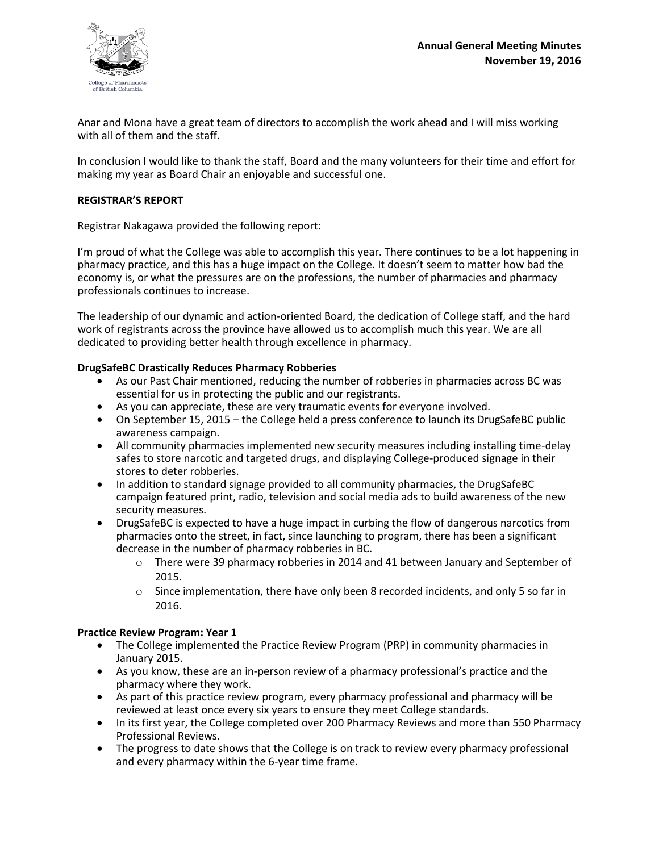

Anar and Mona have a great team of directors to accomplish the work ahead and I will miss working with all of them and the staff.

In conclusion I would like to thank the staff, Board and the many volunteers for their time and effort for making my year as Board Chair an enjoyable and successful one.

### **REGISTRAR'S REPORT**

Registrar Nakagawa provided the following report:

I'm proud of what the College was able to accomplish this year. There continues to be a lot happening in pharmacy practice, and this has a huge impact on the College. It doesn't seem to matter how bad the economy is, or what the pressures are on the professions, the number of pharmacies and pharmacy professionals continues to increase.

The leadership of our dynamic and action-oriented Board, the dedication of College staff, and the hard work of registrants across the province have allowed us to accomplish much this year. We are all dedicated to providing better health through excellence in pharmacy.

### **DrugSafeBC Drastically Reduces Pharmacy Robberies**

- As our Past Chair mentioned, reducing the number of robberies in pharmacies across BC was essential for us in protecting the public and our registrants.
- As you can appreciate, these are very traumatic events for everyone involved.
- On September 15, 2015 the College held a press conference to launch its DrugSafeBC public awareness campaign.
- All community pharmacies implemented new security measures including installing time-delay safes to store narcotic and targeted drugs, and displaying College-produced signage in their stores to deter robberies.
- In addition to standard signage provided to all community pharmacies, the DrugSafeBC campaign featured print, radio, television and social media ads to build awareness of the new security measures.
- DrugSafeBC is expected to have a huge impact in curbing the flow of dangerous narcotics from pharmacies onto the street, in fact, since launching to program, there has been a significant decrease in the number of pharmacy robberies in BC.
	- o There were 39 pharmacy robberies in 2014 and 41 between January and September of 2015.
	- o Since implementation, there have only been 8 recorded incidents, and only 5 so far in 2016.

#### **Practice Review Program: Year 1**

- The College implemented the Practice Review Program (PRP) in community pharmacies in January 2015.
- As you know, these are an in-person review of a pharmacy professional's practice and the pharmacy where they work.
- As part of this practice review program, every pharmacy professional and pharmacy will be reviewed at least once every six years to ensure they meet College standards.
- In its first year, the College completed over 200 Pharmacy Reviews and more than 550 Pharmacy Professional Reviews.
- The progress to date shows that the College is on track to review every pharmacy professional and every pharmacy within the 6-year time frame.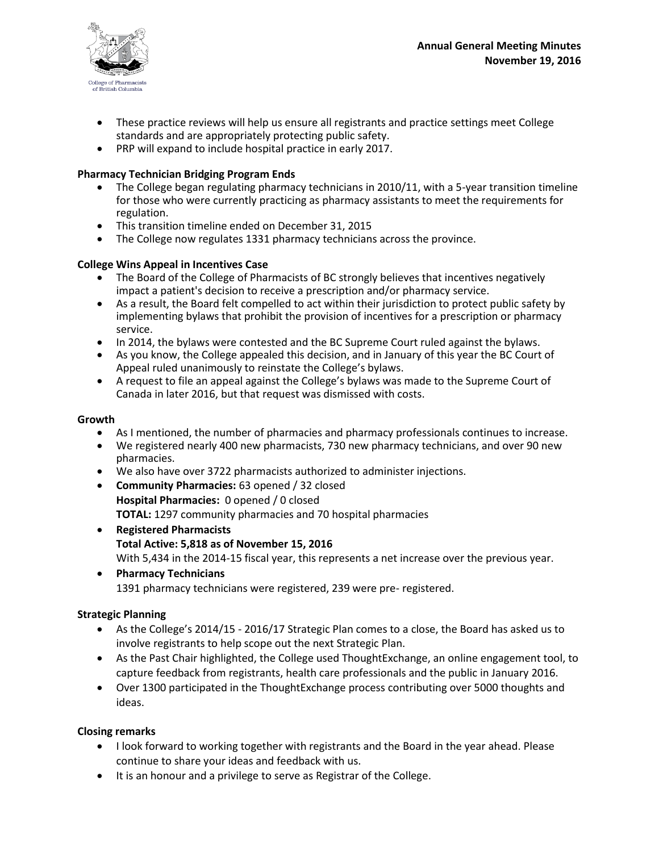

- These practice reviews will help us ensure all registrants and practice settings meet College standards and are appropriately protecting public safety.
- PRP will expand to include hospital practice in early 2017.

# **Pharmacy Technician Bridging Program Ends**

- The College began regulating pharmacy technicians in 2010/11, with a 5-year transition timeline for those who were currently practicing as pharmacy assistants to meet the requirements for regulation.
- This transition timeline ended on December 31, 2015
- The College now regulates 1331 pharmacy technicians across the province.

## **College Wins Appeal in Incentives Case**

- The Board of the College of Pharmacists of BC strongly believes that incentives negatively impact a patient's decision to receive a prescription and/or pharmacy service.
- As a result, the Board felt compelled to act within their jurisdiction to protect public safety by implementing bylaws that prohibit the provision of incentives for a prescription or pharmacy service.
- In 2014, the bylaws were contested and the BC Supreme Court ruled against the bylaws.
- As you know, the College appealed this decision, and in January of this year the BC Court of Appeal ruled unanimously to reinstate the College's bylaws.
- A request to file an appeal against the College's bylaws was made to the Supreme Court of Canada in later 2016, but that request was dismissed with costs.

### **Growth**

- As I mentioned, the number of pharmacies and pharmacy professionals continues to increase.
- We registered nearly 400 new pharmacists, 730 new pharmacy technicians, and over 90 new pharmacies.
- We also have over 3722 pharmacists authorized to administer injections.
- **Community Pharmacies:** 63 opened / 32 closed **Hospital Pharmacies:** 0 opened / 0 closed **TOTAL:** 1297 community pharmacies and 70 hospital pharmacies
- **Registered Pharmacists Total Active: 5,818 as of November 15, 2016** With 5,434 in the 2014-15 fiscal year, this represents a net increase over the previous year.
- **Pharmacy Technicians** 1391 pharmacy technicians were registered, 239 were pre- registered.

# **Strategic Planning**

- As the College's 2014/15 2016/17 Strategic Plan comes to a close, the Board has asked us to involve registrants to help scope out the next Strategic Plan.
- As the Past Chair highlighted, the College used ThoughtExchange, an online engagement tool, to capture feedback from registrants, health care professionals and the public in January 2016.
- Over 1300 participated in the ThoughtExchange process contributing over 5000 thoughts and ideas.

### **Closing remarks**

- I look forward to working together with registrants and the Board in the year ahead. Please continue to share your ideas and feedback with us.
- It is an honour and a privilege to serve as Registrar of the College.